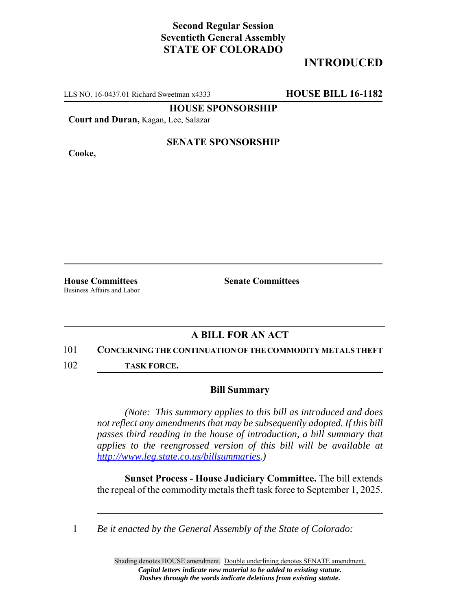# **Second Regular Session Seventieth General Assembly STATE OF COLORADO**

# **INTRODUCED**

LLS NO. 16-0437.01 Richard Sweetman x4333 **HOUSE BILL 16-1182**

**HOUSE SPONSORSHIP**

**Court and Duran,** Kagan, Lee, Salazar

**Cooke,**

## **SENATE SPONSORSHIP**

**House Committees Senate Committees** Business Affairs and Labor

## **A BILL FOR AN ACT**

#### 101 **CONCERNING THE CONTINUATION OF THE COMMODITY METALS THEFT**

102 **TASK FORCE.**

### **Bill Summary**

*(Note: This summary applies to this bill as introduced and does not reflect any amendments that may be subsequently adopted. If this bill passes third reading in the house of introduction, a bill summary that applies to the reengrossed version of this bill will be available at http://www.leg.state.co.us/billsummaries.)*

**Sunset Process - House Judiciary Committee.** The bill extends the repeal of the commodity metals theft task force to September 1, 2025.

1 *Be it enacted by the General Assembly of the State of Colorado:*